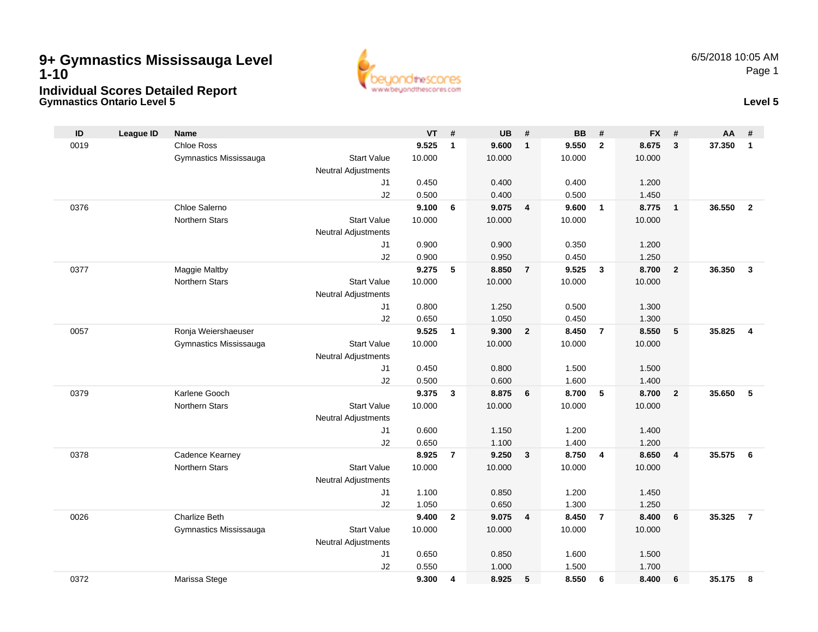## **Gymnastics Ontario Level 5 Level 5 9+ Gymnastics Mississauga Level 1-10Individual Scores Detailed Report**



| ID   | <b>League ID</b> | <b>Name</b>            |                            | VT     | #              | UB     | #                       | <b>BB</b> | #              | <b>FX</b> | #              | <b>AA</b> | #              |
|------|------------------|------------------------|----------------------------|--------|----------------|--------|-------------------------|-----------|----------------|-----------|----------------|-----------|----------------|
| 0019 |                  | <b>Chloe Ross</b>      |                            | 9.525  | $\mathbf{1}$   | 9.600  | $\overline{\mathbf{1}}$ | 9.550     | $\overline{2}$ | 8.675     | 3              | 37.350    | $\mathbf{1}$   |
|      |                  | Gymnastics Mississauga | <b>Start Value</b>         | 10.000 |                | 10.000 |                         | 10.000    |                | 10.000    |                |           |                |
|      |                  |                        | <b>Neutral Adjustments</b> |        |                |        |                         |           |                |           |                |           |                |
|      |                  |                        | J1                         | 0.450  |                | 0.400  |                         | 0.400     |                | 1.200     |                |           |                |
|      |                  |                        | J2                         | 0.500  |                | 0.400  |                         | 0.500     |                | 1.450     |                |           |                |
| 0376 |                  | Chloe Salerno          |                            | 9.100  | 6              | 9.075  | $\overline{4}$          | 9.600     | $\overline{1}$ | 8.775     | $\mathbf{1}$   | 36.550    | $\overline{2}$ |
|      |                  | <b>Northern Stars</b>  | <b>Start Value</b>         | 10.000 |                | 10.000 |                         | 10.000    |                | 10.000    |                |           |                |
|      |                  |                        | <b>Neutral Adjustments</b> |        |                |        |                         |           |                |           |                |           |                |
|      |                  |                        | J1                         | 0.900  |                | 0.900  |                         | 0.350     |                | 1.200     |                |           |                |
|      |                  |                        | J2                         | 0.900  |                | 0.950  |                         | 0.450     |                | 1.250     |                |           |                |
| 0377 |                  | Maggie Maltby          |                            | 9.275  | 5              | 8.850  | $\overline{7}$          | 9.525     | $\mathbf{3}$   | 8.700     | $\overline{2}$ | 36.350    | $\mathbf{3}$   |
|      |                  | <b>Northern Stars</b>  | <b>Start Value</b>         | 10.000 |                | 10.000 |                         | 10.000    |                | 10.000    |                |           |                |
|      |                  |                        | <b>Neutral Adjustments</b> |        |                |        |                         |           |                |           |                |           |                |
|      |                  |                        | J1                         | 0.800  |                | 1.250  |                         | 0.500     |                | 1.300     |                |           |                |
|      |                  |                        | J2                         | 0.650  |                | 1.050  |                         | 0.450     |                | 1.300     |                |           |                |
| 0057 |                  | Ronja Weiershaeuser    |                            | 9.525  | $\mathbf{1}$   | 9.300  | $\overline{2}$          | 8.450     | $\overline{7}$ | 8.550     | 5              | 35.825    | $\overline{4}$ |
|      |                  | Gymnastics Mississauga | <b>Start Value</b>         | 10.000 |                | 10.000 |                         | 10.000    |                | 10.000    |                |           |                |
|      |                  |                        | <b>Neutral Adjustments</b> |        |                |        |                         |           |                |           |                |           |                |
|      |                  |                        | J1                         | 0.450  |                | 0.800  |                         | 1.500     |                | 1.500     |                |           |                |
|      |                  |                        | J2                         | 0.500  |                | 0.600  |                         | 1.600     |                | 1.400     |                |           |                |
| 0379 |                  | Karlene Gooch          |                            | 9.375  | 3              | 8.875  | 6                       | 8.700     | 5              | 8.700     | $\overline{2}$ | 35.650    | 5              |
|      |                  | <b>Northern Stars</b>  | <b>Start Value</b>         | 10.000 |                | 10.000 |                         | 10.000    |                | 10.000    |                |           |                |
|      |                  |                        | <b>Neutral Adjustments</b> |        |                |        |                         |           |                |           |                |           |                |
|      |                  |                        | J1                         | 0.600  |                | 1.150  |                         | 1.200     |                | 1.400     |                |           |                |
|      |                  |                        | J2                         | 0.650  |                | 1.100  |                         | 1.400     |                | 1.200     |                |           |                |
| 0378 |                  | Cadence Kearney        |                            | 8.925  | $\overline{7}$ | 9.250  | $\overline{\mathbf{3}}$ | 8.750     | $\overline{4}$ | 8.650     | $\overline{4}$ | 35.575    | 6              |
|      |                  | Northern Stars         | <b>Start Value</b>         | 10.000 |                | 10.000 |                         | 10.000    |                | 10.000    |                |           |                |
|      |                  |                        | <b>Neutral Adjustments</b> |        |                |        |                         |           |                |           |                |           |                |
|      |                  |                        | J1                         | 1.100  |                | 0.850  |                         | 1.200     |                | 1.450     |                |           |                |
|      |                  |                        | J2                         | 1.050  |                | 0.650  |                         | 1.300     |                | 1.250     |                |           |                |
| 0026 |                  | <b>Charlize Beth</b>   |                            | 9.400  | $\mathbf{2}$   | 9.075  | $\overline{\mathbf{4}}$ | 8.450     | $\overline{7}$ | 8.400     | 6              | 35.325    | $\overline{7}$ |
|      |                  | Gymnastics Mississauga | <b>Start Value</b>         | 10.000 |                | 10.000 |                         | 10.000    |                | 10.000    |                |           |                |
|      |                  |                        | Neutral Adjustments        |        |                |        |                         |           |                |           |                |           |                |
|      |                  |                        | J1                         | 0.650  |                | 0.850  |                         | 1.600     |                | 1.500     |                |           |                |
|      |                  |                        | J2                         | 0.550  |                | 1.000  |                         | 1.500     |                | 1.700     |                |           |                |
| 0372 |                  | Marissa Stege          |                            | 9.300  | 4              | 8.925  | 5                       | 8.550     | 6              | 8.400     | 6              | 35.175    | 8              |